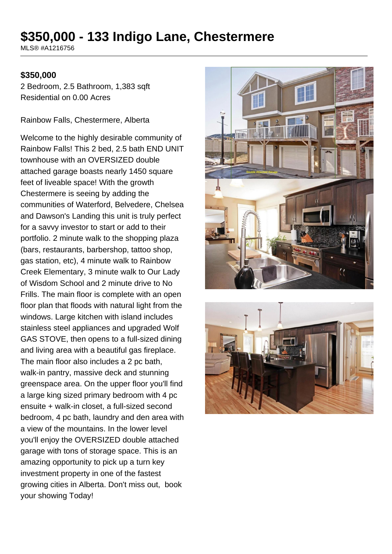# **\$350,000 - 133 Indigo Lane, Chestermere**

MLS® #A1216756

#### **\$350,000**

2 Bedroom, 2.5 Bathroom, 1,383 sqft Residential on 0.00 Acres

Rainbow Falls, Chestermere, Alberta

Welcome to the highly desirable community of Rainbow Falls! This 2 bed, 2.5 bath END UNIT townhouse with an OVERSIZED double attached garage boasts nearly 1450 square feet of liveable space! With the growth Chestermere is seeing by adding the communities of Waterford, Belvedere, Chelsea and Dawson's Landing this unit is truly perfect for a savvy investor to start or add to their portfolio. 2 minute walk to the shopping plaza (bars, restaurants, barbershop, tattoo shop, gas station, etc), 4 minute walk to Rainbow Creek Elementary, 3 minute walk to Our Lady of Wisdom School and 2 minute drive to No Frills. The main floor is complete with an open floor plan that floods with natural light from the windows. Large kitchen with island includes stainless steel appliances and upgraded Wolf GAS STOVE, then opens to a full-sized dining and living area with a beautiful gas fireplace. The main floor also includes a 2 pc bath, walk-in pantry, massive deck and stunning greenspace area. On the upper floor you'll find a large king sized primary bedroom with 4 pc ensuite + walk-in closet, a full-sized second bedroom, 4 pc bath, laundry and den area with a view of the mountains. In the lower level you'll enjoy the OVERSIZED double attached garage with tons of storage space. This is an amazing opportunity to pick up a turn key investment property in one of the fastest growing cities in Alberta. Don't miss out, book your showing Today!



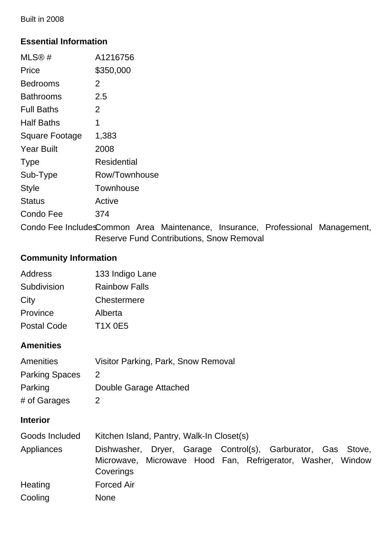Built in 2008

# **Essential Information**

| MLS® #                | A1216756      |
|-----------------------|---------------|
| Price                 | \$350,000     |
| Bedrooms              | 2             |
| Bathrooms             | 2.5           |
| <b>Full Baths</b>     | 2             |
| Half Baths            | 1             |
| <b>Square Footage</b> | 1,383         |
| <b>Year Built</b>     | 2008          |
| <b>Type</b>           | Residential   |
| Sub-Type              | Row/Townhouse |
| <b>Style</b>          | Townhouse     |
| <b>Status</b>         | Active        |
| Condo Fee             | 374           |
|                       |               |

Condo Fee IncludesCommon Area Maintenance, Insurance, Professional Management, Reserve Fund Contributions, Snow Removal

## **Community Information**

| <b>Address</b>     | 133 Indigo Lane      |
|--------------------|----------------------|
| Subdivision        | <b>Rainbow Falls</b> |
| City               | Chestermere          |
| Province           | Alberta              |
| <b>Postal Code</b> | <b>T1X 0E5</b>       |

# **Amenities**

| <b>Amenities</b>      | Visitor Parking, Park, Snow Removal |
|-----------------------|-------------------------------------|
| <b>Parking Spaces</b> | $\mathcal{P}$                       |
| Parking               | Double Garage Attached              |
| # of Garages          | 2                                   |

### **Interior**

| Goods Included | Kitchen Island, Pantry, Walk-In Closet(s)                                                                                                |
|----------------|------------------------------------------------------------------------------------------------------------------------------------------|
| Appliances     | Dishwasher, Dryer, Garage Control(s), Garburator, Gas Stove,<br>Microwave, Microwave Hood Fan, Refrigerator, Washer, Window<br>Coverings |
| Heating        | <b>Forced Air</b>                                                                                                                        |
| Cooling        | <b>None</b>                                                                                                                              |